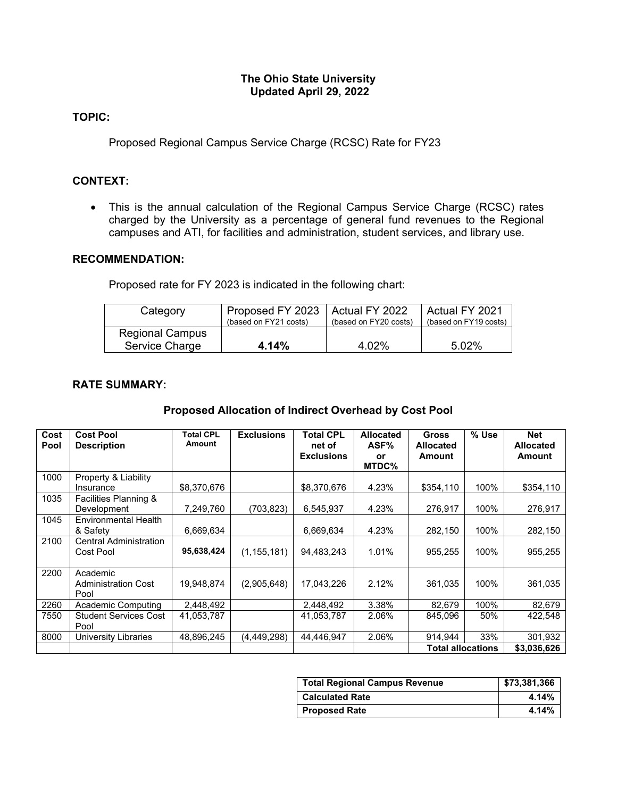### **The Ohio State University Updated April 29, 2022**

## **TOPIC:**

Proposed Regional Campus Service Charge (RCSC) Rate for FY23

# **CONTEXT:**

• This is the annual calculation of the Regional Campus Service Charge (RCSC) rates charged by the University as a percentage of general fund revenues to the Regional campuses and ATI, for facilities and administration, student services, and library use.

### **RECOMMENDATION:**

Proposed rate for FY 2023 is indicated in the following chart:

| Category                                 | Proposed FY 2023   Actual FY 2022<br>(based on FY21 costs) | (based on FY20 costs) | Actual FY 2021<br>(based on FY19 costs) |
|------------------------------------------|------------------------------------------------------------|-----------------------|-----------------------------------------|
| <b>Regional Campus</b><br>Service Charge | 4.14%                                                      | 4.02%                 | $5.02\%$                                |

#### **RATE SUMMARY:**

## **Proposed Allocation of Indirect Overhead by Cost Pool**

| Cost<br>Pool | <b>Cost Pool</b><br><b>Description</b>         | <b>Total CPL</b><br>Amount | <b>Exclusions</b> | <b>Total CPL</b><br>net of<br><b>Exclusions</b> | <b>Allocated</b><br>ASF%<br>or<br>MTDC% | <b>Gross</b><br><b>Allocated</b><br>Amount | % Use | <b>Net</b><br><b>Allocated</b><br><b>Amount</b> |
|--------------|------------------------------------------------|----------------------------|-------------------|-------------------------------------------------|-----------------------------------------|--------------------------------------------|-------|-------------------------------------------------|
| 1000         | Property & Liability<br>Insurance              | \$8,370,676                |                   | \$8,370,676                                     | 4.23%                                   | \$354,110                                  | 100%  | \$354,110                                       |
| 1035         | Facilities Planning &<br>Development           | 7,249,760                  | (703,823)         | 6,545,937                                       | 4.23%                                   | 276.917                                    | 100%  | 276.917                                         |
| 1045         | <b>Environmental Health</b><br>& Safety        | 6.669.634                  |                   | 6.669.634                                       | 4.23%                                   | 282.150                                    | 100%  | 282,150                                         |
| 2100         | <b>Central Administration</b><br>Cost Pool     | 95,638,424                 | (1, 155, 181)     | 94,483,243                                      | 1.01%                                   | 955,255                                    | 100%  | 955,255                                         |
| 2200         | Academic<br><b>Administration Cost</b><br>Pool | 19,948,874                 | (2,905,648)       | 17,043,226                                      | 2.12%                                   | 361,035                                    | 100%  | 361,035                                         |
| 2260         | Academic Computing                             | 2,448,492                  |                   | 2,448,492                                       | 3.38%                                   | 82,679                                     | 100%  | 82,679                                          |
| 7550         | <b>Student Services Cost</b><br>Pool           | 41,053,787                 |                   | 41,053,787                                      | 2.06%                                   | 845.096                                    | 50%   | 422,548                                         |
| 8000         | University Libraries                           | 48,896,245                 | (4,449,298)       | 44,446,947                                      | 2.06%                                   | 914.944                                    | 33%   | 301,932                                         |
|              |                                                |                            |                   |                                                 |                                         | Total allocations                          |       | \$3,036,626                                     |

| <b>Total Regional Campus Revenue</b> | \$73,381,366 |  |  |
|--------------------------------------|--------------|--|--|
| <b>Calculated Rate</b>               | 4.14%        |  |  |
| <b>Proposed Rate</b>                 | 4.14%        |  |  |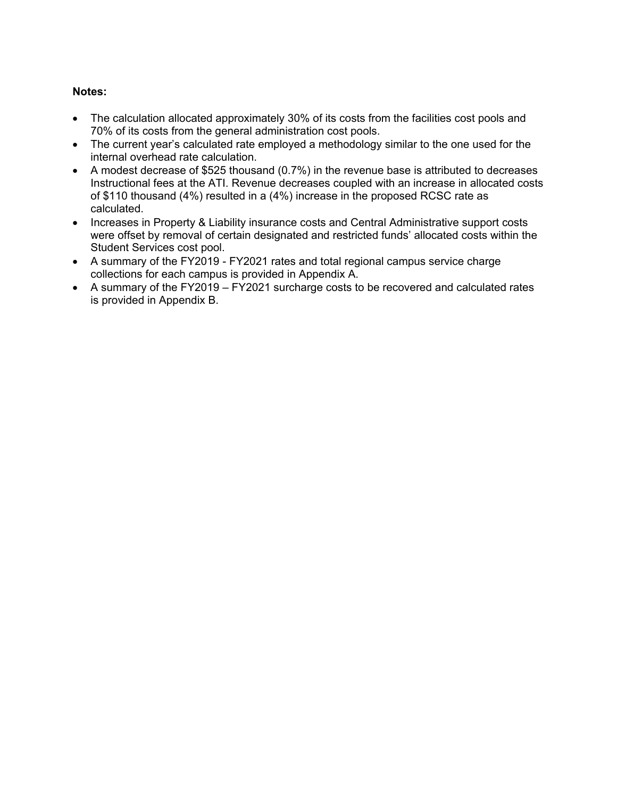# **Notes:**

- The calculation allocated approximately 30% of its costs from the facilities cost pools and 70% of its costs from the general administration cost pools.
- The current year's calculated rate employed a methodology similar to the one used for the internal overhead rate calculation.
- A modest decrease of \$525 thousand (0.7%) in the revenue base is attributed to decreases Instructional fees at the ATI. Revenue decreases coupled with an increase in allocated costs of \$110 thousand (4%) resulted in a (4%) increase in the proposed RCSC rate as calculated.
- Increases in Property & Liability insurance costs and Central Administrative support costs were offset by removal of certain designated and restricted funds' allocated costs within the Student Services cost pool.
- A summary of the FY2019 FY2021 rates and total regional campus service charge collections for each campus is provided in Appendix A.
- A summary of the FY2019 FY2021 surcharge costs to be recovered and calculated rates is provided in Appendix B.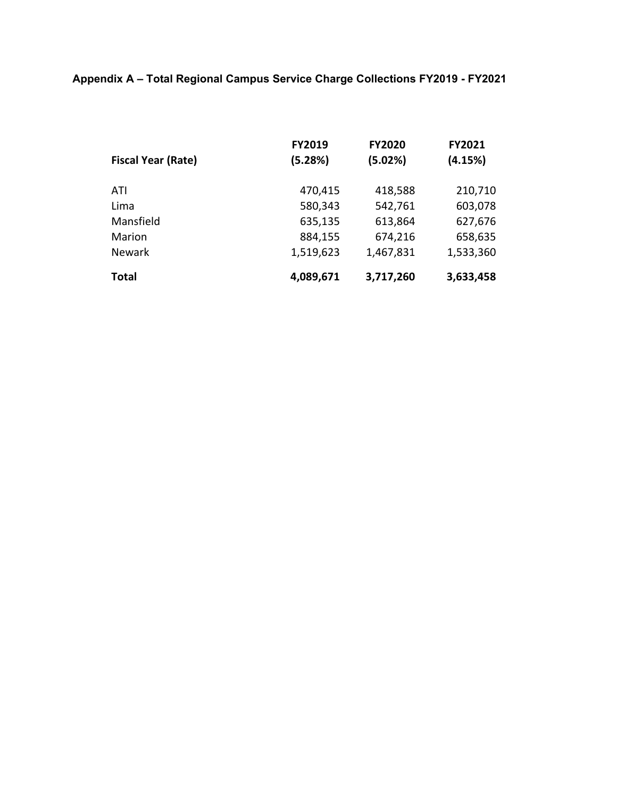**Appendix A – Total Regional Campus Service Charge Collections FY2019 - FY2021**

| <b>Fiscal Year (Rate)</b> | <b>FY2019</b><br>(5.28%) | <b>FY2020</b><br>(5.02%) | FY2021<br>(4.15%) |
|---------------------------|--------------------------|--------------------------|-------------------|
| ATI                       | 470,415                  | 418,588                  | 210,710           |
| Lima                      | 580,343                  | 542,761                  | 603,078           |
| Mansfield                 | 635,135                  | 613,864                  | 627,676           |
| Marion                    | 884,155                  | 674,216                  | 658,635           |
| <b>Newark</b>             | 1,519,623                | 1,467,831                | 1,533,360         |
| <b>Total</b>              | 4,089,671                | 3,717,260                | 3,633,458         |